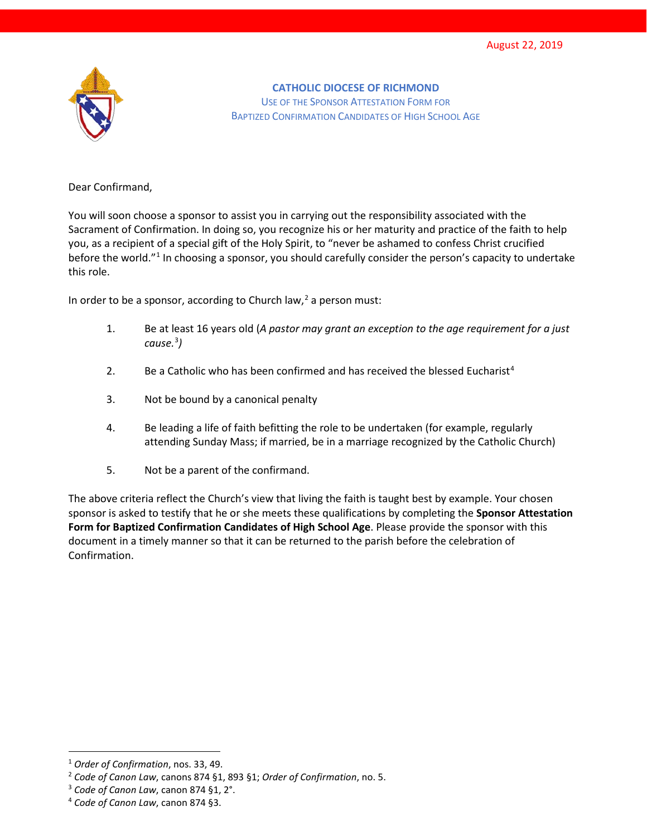

**CATHOLIC DIOCESE OF RICHMOND** USE OF THE SPONSOR ATTESTATION FORM FOR BAPTIZED CONFIRMATION CANDIDATES OF HIGH SCHOOL AGE

Dear Confirmand,

You will soon choose a sponsor to assist you in carrying out the responsibility associated with the Sacrament of Confirmation. In doing so, you recognize his or her maturity and practice of the faith to help you, as a recipient of a special gift of the Holy Spirit, to "never be ashamed to confess Christ crucified before the world."[1](#page-0-0) In choosing a sponsor, you should carefully consider the person's capacity to undertake this role.

In order to be a sponsor, according to Church law, $^2$  $^2$  a person must:

- 1. Be at least 16 years old (*A pastor may grant an exception to the age requirement for a just cause.*[3](#page-0-2) *)*
- 2. Be a Catholic who has been confirmed and has received the blessed Eucharist<sup>[4](#page-0-3)</sup>
- 3. Not be bound by a canonical penalty
- 4. Be leading a life of faith befitting the role to be undertaken (for example, regularly attending Sunday Mass; if married, be in a marriage recognized by the Catholic Church)
- 5. Not be a parent of the confirmand.

The above criteria reflect the Church's view that living the faith is taught best by example. Your chosen sponsor is asked to testify that he or she meets these qualifications by completing the **Sponsor Attestation Form for Baptized Confirmation Candidates of High School Age**. Please provide the sponsor with this document in a timely manner so that it can be returned to the parish before the celebration of Confirmation.

<span id="page-0-0"></span> <sup>1</sup> *Order of Confirmation*, nos. 33, 49.

<span id="page-0-1"></span><sup>2</sup> *Code of Canon Law*, canons 874 §1, 893 §1; *Order of Confirmation*, no. 5.

<span id="page-0-2"></span><sup>3</sup> *Code of Canon Law*, canon 874 §1, 2°.

<span id="page-0-3"></span><sup>4</sup> *Code of Canon Law*, canon 874 §3.